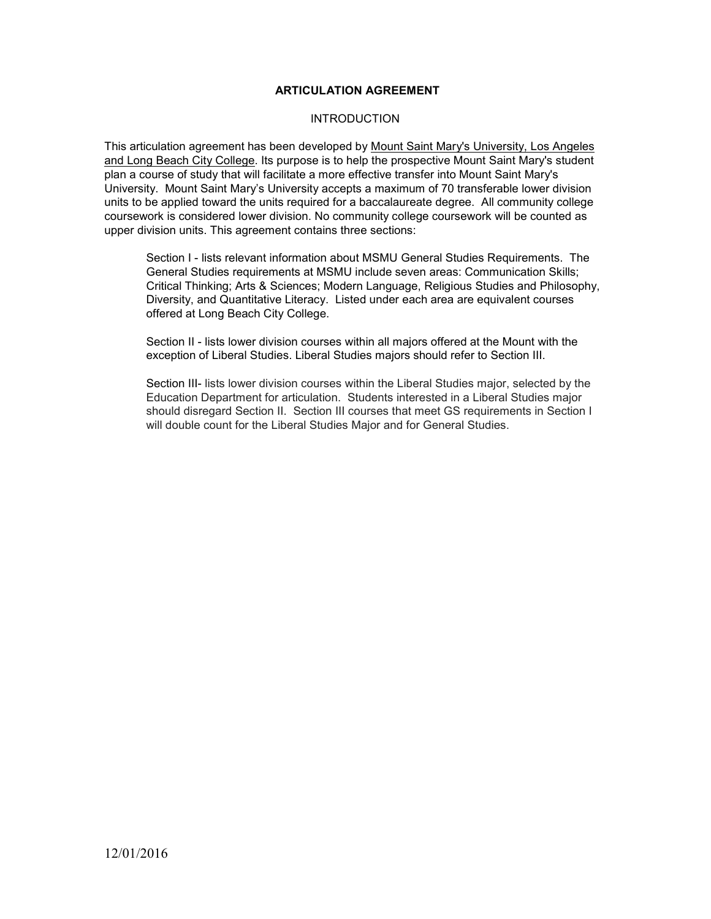## **ARTICULATION AGREEMENT**

### **INTRODUCTION**

This articulation agreement has been developed by Mount Saint Mary's University, Los Angeles and Long Beach City College. Its purpose is to help the prospective Mount Saint Mary's student plan a course of study that will facilitate a more effective transfer into Mount Saint Mary's University. Mount Saint Mary's University accepts a maximum of 70 transferable lower division units to be applied toward the units required for a baccalaureate degree. All community college coursework is considered lower division. No community college coursework will be counted as upper division units. This agreement contains three sections:

Section I - lists relevant information about MSMU General Studies Requirements. The General Studies requirements at MSMU include seven areas: Communication Skills; Critical Thinking; Arts & Sciences; Modern Language, Religious Studies and Philosophy, Diversity, and Quantitative Literacy. Listed under each area are equivalent courses offered at Long Beach City College.

Section II - lists lower division courses within all majors offered at the Mount with the exception of Liberal Studies. Liberal Studies majors should refer to Section III.

Section III- lists lower division courses within the Liberal Studies major, selected by the Education Department for articulation. Students interested in a Liberal Studies major should disregard Section II. Section III courses that meet GS requirements in Section I will double count for the Liberal Studies Major and for General Studies.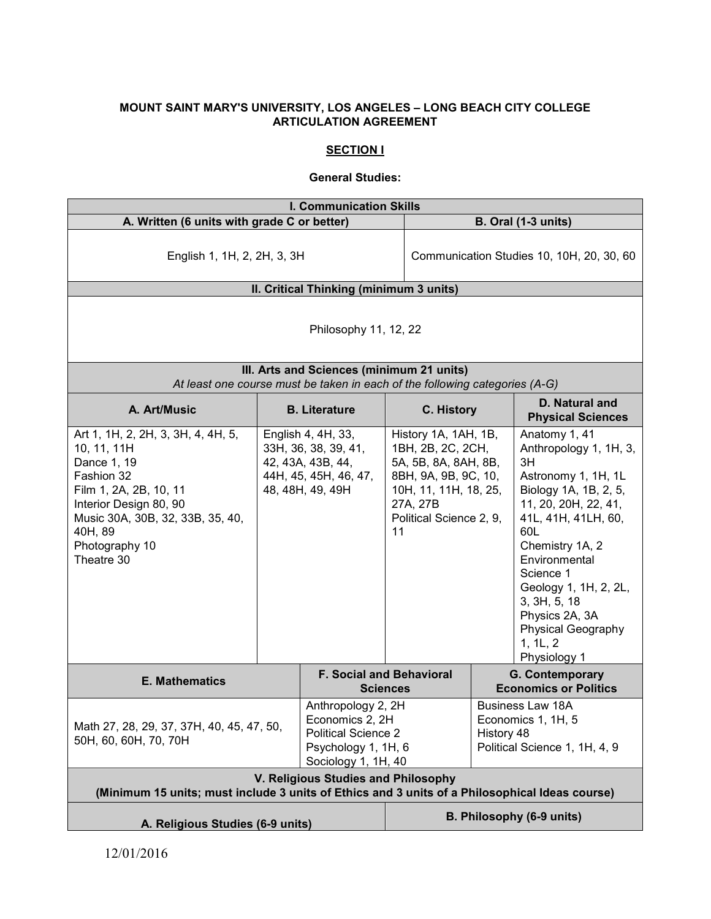# **MOUNT SAINT MARY'S UNIVERSITY, LOS ANGELES – LONG BEACH CITY COLLEGE ARTICULATION AGREEMENT**

# **SECTION I**

#### **General Studies:**

| <b>I. Communication Skills</b>                                                                                                                                                                                    |  |                                                                                                                          |                                           |                                                                                                                                                           |  |                                                                                                                                                                                                                                                                                                                          |
|-------------------------------------------------------------------------------------------------------------------------------------------------------------------------------------------------------------------|--|--------------------------------------------------------------------------------------------------------------------------|-------------------------------------------|-----------------------------------------------------------------------------------------------------------------------------------------------------------|--|--------------------------------------------------------------------------------------------------------------------------------------------------------------------------------------------------------------------------------------------------------------------------------------------------------------------------|
| A. Written (6 units with grade C or better)                                                                                                                                                                       |  |                                                                                                                          |                                           | <b>B. Oral (1-3 units)</b>                                                                                                                                |  |                                                                                                                                                                                                                                                                                                                          |
| English 1, 1H, 2, 2H, 3, 3H                                                                                                                                                                                       |  |                                                                                                                          | Communication Studies 10, 10H, 20, 30, 60 |                                                                                                                                                           |  |                                                                                                                                                                                                                                                                                                                          |
|                                                                                                                                                                                                                   |  | II. Critical Thinking (minimum 3 units)                                                                                  |                                           |                                                                                                                                                           |  |                                                                                                                                                                                                                                                                                                                          |
| Philosophy 11, 12, 22                                                                                                                                                                                             |  |                                                                                                                          |                                           |                                                                                                                                                           |  |                                                                                                                                                                                                                                                                                                                          |
|                                                                                                                                                                                                                   |  | III. Arts and Sciences (minimum 21 units)<br>At least one course must be taken in each of the following categories (A-G) |                                           |                                                                                                                                                           |  |                                                                                                                                                                                                                                                                                                                          |
| A. Art/Music                                                                                                                                                                                                      |  | <b>B.</b> Literature                                                                                                     |                                           | C. History                                                                                                                                                |  | D. Natural and<br><b>Physical Sciences</b>                                                                                                                                                                                                                                                                               |
| Art 1, 1H, 2, 2H, 3, 3H, 4, 4H, 5,<br>10, 11, 11H<br>Dance 1, 19<br>Fashion 32<br>Film 1, 2A, 2B, 10, 11<br>Interior Design 80, 90<br>Music 30A, 30B, 32, 33B, 35, 40,<br>40H, 89<br>Photography 10<br>Theatre 30 |  | English 4, 4H, 33,<br>33H, 36, 38, 39, 41,<br>42, 43A, 43B, 44,<br>44H, 45, 45H, 46, 47,<br>48, 48H, 49, 49H             | 11                                        | History 1A, 1AH, 1B,<br>1BH, 2B, 2C, 2CH,<br>5A, 5B, 8A, 8AH, 8B,<br>8BH, 9A, 9B, 9C, 10,<br>10H, 11, 11H, 18, 25,<br>27A, 27B<br>Political Science 2, 9, |  | Anatomy 1, 41<br>Anthropology 1, 1H, 3,<br>3H<br>Astronomy 1, 1H, 1L<br>Biology 1A, 1B, 2, 5,<br>11, 20, 20H, 22, 41,<br>41L, 41H, 41LH, 60,<br>60L<br>Chemistry 1A, 2<br>Environmental<br>Science 1<br>Geology 1, 1H, 2, 2L,<br>3, 3H, 5, 18<br>Physics 2A, 3A<br><b>Physical Geography</b><br>1, 1L, 2<br>Physiology 1 |
| <b>E. Mathematics</b>                                                                                                                                                                                             |  | <b>F. Social and Behavioral</b><br><b>Sciences</b>                                                                       |                                           |                                                                                                                                                           |  | G. Contemporary<br><b>Economics or Politics</b>                                                                                                                                                                                                                                                                          |
| Math 27, 28, 29, 37, 37H, 40, 45, 47, 50,<br>50H, 60, 60H, 70, 70H                                                                                                                                                |  | Anthropology 2, 2H<br>Economics 2, 2H<br><b>Political Science 2</b><br>Psychology 1, 1H, 6<br>Sociology 1, 1H, 40        |                                           | <b>Business Law 18A</b><br>Economics 1, 1H, 5<br>History 48<br>Political Science 1, 1H, 4, 9                                                              |  |                                                                                                                                                                                                                                                                                                                          |
| V. Religious Studies and Philosophy<br>(Minimum 15 units; must include 3 units of Ethics and 3 units of a Philosophical Ideas course)                                                                             |  |                                                                                                                          |                                           |                                                                                                                                                           |  |                                                                                                                                                                                                                                                                                                                          |
| A. Religious Studies (6-9 units)                                                                                                                                                                                  |  |                                                                                                                          |                                           |                                                                                                                                                           |  | B. Philosophy (6-9 units)                                                                                                                                                                                                                                                                                                |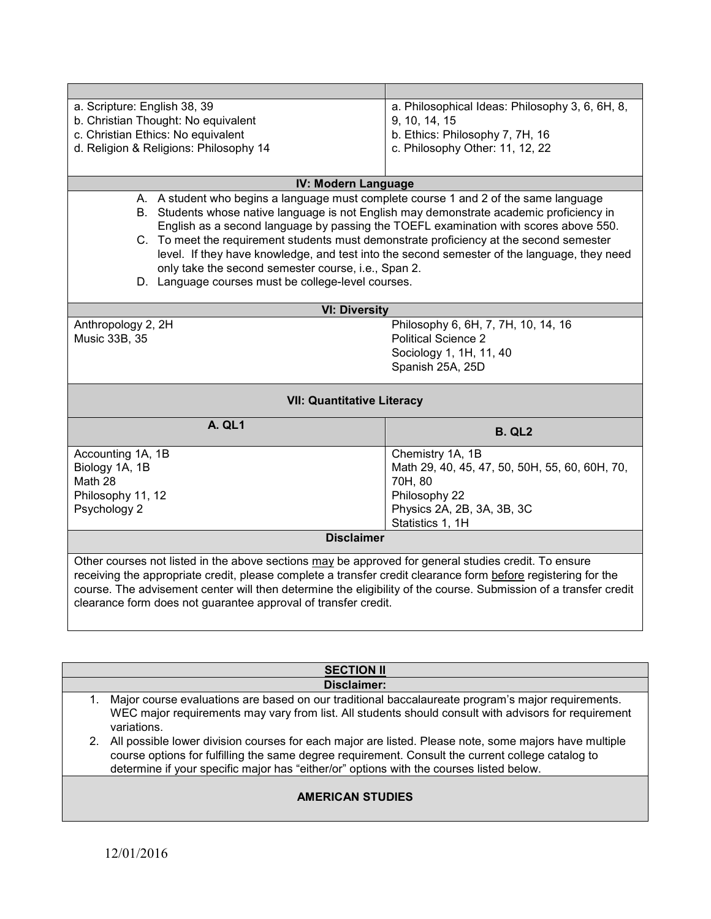| a. Scripture: English 38, 39                                                                                     | a. Philosophical Ideas: Philosophy 3, 6, 6H, 8,                                             |  |  |  |
|------------------------------------------------------------------------------------------------------------------|---------------------------------------------------------------------------------------------|--|--|--|
| b. Christian Thought: No equivalent                                                                              | 9, 10, 14, 15                                                                               |  |  |  |
| c. Christian Ethics: No equivalent                                                                               | b. Ethics: Philosophy 7, 7H, 16                                                             |  |  |  |
| d. Religion & Religions: Philosophy 14                                                                           | c. Philosophy Other: 11, 12, 22                                                             |  |  |  |
|                                                                                                                  |                                                                                             |  |  |  |
|                                                                                                                  |                                                                                             |  |  |  |
| IV: Modern Language                                                                                              |                                                                                             |  |  |  |
|                                                                                                                  | A. A student who begins a language must complete course 1 and 2 of the same language        |  |  |  |
|                                                                                                                  | B. Students whose native language is not English may demonstrate academic proficiency in    |  |  |  |
|                                                                                                                  | English as a second language by passing the TOEFL examination with scores above 550.        |  |  |  |
|                                                                                                                  | C. To meet the requirement students must demonstrate proficiency at the second semester     |  |  |  |
|                                                                                                                  | level. If they have knowledge, and test into the second semester of the language, they need |  |  |  |
| only take the second semester course, i.e., Span 2.                                                              |                                                                                             |  |  |  |
| D. Language courses must be college-level courses.                                                               |                                                                                             |  |  |  |
|                                                                                                                  |                                                                                             |  |  |  |
| <b>VI: Diversity</b>                                                                                             |                                                                                             |  |  |  |
| Anthropology 2, 2H                                                                                               | Philosophy 6, 6H, 7, 7H, 10, 14, 16                                                         |  |  |  |
| Music 33B, 35                                                                                                    | <b>Political Science 2</b>                                                                  |  |  |  |
|                                                                                                                  | Sociology 1, 1H, 11, 40                                                                     |  |  |  |
|                                                                                                                  | Spanish 25A, 25D                                                                            |  |  |  |
| <b>VII: Quantitative Literacy</b>                                                                                |                                                                                             |  |  |  |
|                                                                                                                  |                                                                                             |  |  |  |
| <b>A. QL1</b>                                                                                                    | <b>B. QL2</b>                                                                               |  |  |  |
| Accounting 1A, 1B                                                                                                | Chemistry 1A, 1B                                                                            |  |  |  |
| Biology 1A, 1B                                                                                                   | Math 29, 40, 45, 47, 50, 50H, 55, 60, 60H, 70,                                              |  |  |  |
| Math 28                                                                                                          | 70H, 80                                                                                     |  |  |  |
| Philosophy 11, 12                                                                                                | Philosophy 22                                                                               |  |  |  |
| Psychology 2                                                                                                     | Physics 2A, 2B, 3A, 3B, 3C                                                                  |  |  |  |
|                                                                                                                  | Statistics 1, 1H                                                                            |  |  |  |
| <b>Disclaimer</b>                                                                                                |                                                                                             |  |  |  |
| Other courses not listed in the above sections may be approved for general studies credit. To ensure             |                                                                                             |  |  |  |
| receiving the appropriate credit, please complete a transfer credit clearance form before registering for the    |                                                                                             |  |  |  |
| course. The advisement center will then determine the eligibility of the course. Submission of a transfer credit |                                                                                             |  |  |  |
| clearance form does not guarantee approval of transfer credit.                                                   |                                                                                             |  |  |  |

| <b>SECTION II</b>       |                                                                                                                                                                                                                                                                                                       |  |  |
|-------------------------|-------------------------------------------------------------------------------------------------------------------------------------------------------------------------------------------------------------------------------------------------------------------------------------------------------|--|--|
|                         | Disclaimer:                                                                                                                                                                                                                                                                                           |  |  |
|                         | Major course evaluations are based on our traditional baccalaureate program's major requirements.<br>WEC major requirements may vary from list. All students should consult with advisors for requirement<br>variations.                                                                              |  |  |
| 2.                      | All possible lower division courses for each major are listed. Please note, some majors have multiple<br>course options for fulfilling the same degree requirement. Consult the current college catalog to<br>determine if your specific major has "either/or" options with the courses listed below. |  |  |
| <b>AMERICAN STUDIES</b> |                                                                                                                                                                                                                                                                                                       |  |  |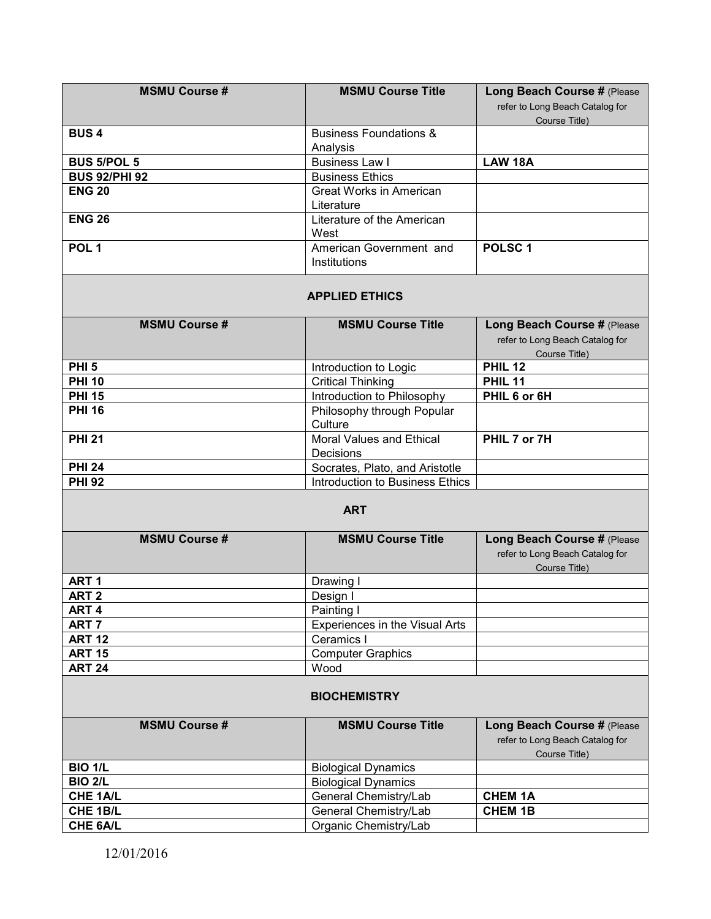| <b>MSMU Course #</b> | <b>MSMU Course Title</b>                | Long Beach Course # (Please     |
|----------------------|-----------------------------------------|---------------------------------|
|                      |                                         | refer to Long Beach Catalog for |
|                      |                                         | Course Title)                   |
| <b>BUS4</b>          | <b>Business Foundations &amp;</b>       |                                 |
|                      | Analysis                                |                                 |
| <b>BUS 5/POL 5</b>   | <b>Business Law I</b>                   | <b>LAW 18A</b>                  |
| <b>BUS 92/PHI 92</b> | <b>Business Ethics</b>                  |                                 |
| <b>ENG 20</b>        | Great Works in American                 |                                 |
|                      | Literature                              |                                 |
| <b>ENG 26</b>        | Literature of the American              |                                 |
|                      | West                                    |                                 |
| POL <sub>1</sub>     | American Government and<br>Institutions | POLSC <sub>1</sub>              |
|                      |                                         |                                 |

# **APPLIED ETHICS**

| <b>MSMU Course #</b> | <b>MSMU Course Title</b>        | Long Beach Course # (Please     |
|----------------------|---------------------------------|---------------------------------|
|                      |                                 | refer to Long Beach Catalog for |
|                      |                                 | Course Title)                   |
| PHI <sub>5</sub>     | Introduction to Logic           | <b>PHIL 12</b>                  |
| <b>PHI 10</b>        | <b>Critical Thinking</b>        | <b>PHIL 11</b>                  |
| <b>PHI 15</b>        | Introduction to Philosophy      | PHIL 6 or 6H                    |
| <b>PHI 16</b>        | Philosophy through Popular      |                                 |
|                      | Culture                         |                                 |
| <b>PHI 21</b>        | <b>Moral Values and Ethical</b> | PHIL 7 or 7H                    |
|                      | <b>Decisions</b>                |                                 |
| <b>PHI 24</b>        | Socrates, Plato, and Aristotle  |                                 |
| <b>PHI 92</b>        | Introduction to Business Ethics |                                 |
|                      |                                 |                                 |

## **ART**

| <b>MSMU Course #</b> | <b>MSMU Course Title</b>       | Long Beach Course # (Please     |
|----------------------|--------------------------------|---------------------------------|
|                      |                                | refer to Long Beach Catalog for |
|                      |                                | Course Title)                   |
| ART <sub>1</sub>     | Drawing I                      |                                 |
| ART <sub>2</sub>     | Design I                       |                                 |
| ART <sub>4</sub>     | Painting I                     |                                 |
| ART <sub>7</sub>     | Experiences in the Visual Arts |                                 |
| <b>ART 12</b>        | Ceramics I                     |                                 |
| <b>ART 15</b>        | <b>Computer Graphics</b>       |                                 |
| <b>ART 24</b>        | Wood                           |                                 |

### **BIOCHEMISTRY**

| <b>MSMU Course #</b> | <b>MSMU Course Title</b>   | Long Beach Course # (Please     |
|----------------------|----------------------------|---------------------------------|
|                      |                            | refer to Long Beach Catalog for |
|                      |                            | Course Title)                   |
| <b>BIO 1/L</b>       | <b>Biological Dynamics</b> |                                 |
| <b>BIO 2/L</b>       | <b>Biological Dynamics</b> |                                 |
| CHE 1A/L             | General Chemistry/Lab      | <b>CHEM 1A</b>                  |
| CHE 1B/L             | General Chemistry/Lab      | <b>CHEM 1B</b>                  |
| <b>CHE 6A/L</b>      | Organic Chemistry/Lab      |                                 |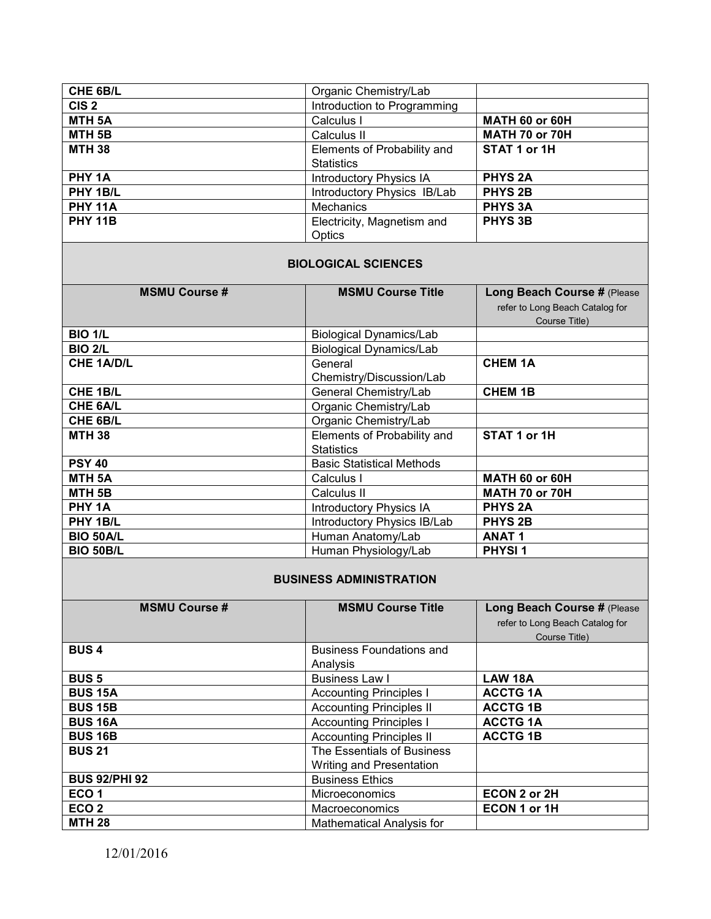| CHE 6B/L          | Organic Chemistry/Lab          |                       |
|-------------------|--------------------------------|-----------------------|
| CIS <sub>2</sub>  | Introduction to Programming    |                       |
| MTH <sub>5A</sub> | Calculus I                     | MATH 60 or 60H        |
| MTH <sub>5B</sub> | Calculus II                    | <b>MATH 70 or 70H</b> |
| <b>MTH 38</b>     | Elements of Probability and    | STAT 1 or 1H          |
|                   | <b>Statistics</b>              |                       |
| PHY 1A            | <b>Introductory Physics IA</b> | <b>PHYS 2A</b>        |
| PHY 1B/L          | Introductory Physics IB/Lab    | <b>PHYS 2B</b>        |
| <b>PHY 11A</b>    | Mechanics                      | <b>PHYS 3A</b>        |
| <b>PHY 11B</b>    | Electricity, Magnetism and     | <b>PHYS 3B</b>        |
|                   | Optics                         |                       |

### **BIOLOGICAL SCIENCES**

| <b>MSMU Course #</b> | <b>MSMU Course Title</b>         | Long Beach Course # (Please<br>refer to Long Beach Catalog for<br>Course Title) |
|----------------------|----------------------------------|---------------------------------------------------------------------------------|
| <b>BIO 1/L</b>       | <b>Biological Dynamics/Lab</b>   |                                                                                 |
| <b>BIO 2/L</b>       | <b>Biological Dynamics/Lab</b>   |                                                                                 |
| <b>CHE 1A/D/L</b>    | General                          | <b>CHEM 1A</b>                                                                  |
|                      | Chemistry/Discussion/Lab         |                                                                                 |
| <b>CHE 1B/L</b>      | General Chemistry/Lab            | <b>CHEM 1B</b>                                                                  |
| <b>CHE 6A/L</b>      | Organic Chemistry/Lab            |                                                                                 |
| CHE 6B/L             | Organic Chemistry/Lab            |                                                                                 |
| <b>MTH 38</b>        | Elements of Probability and      | STAT 1 or 1H                                                                    |
|                      | <b>Statistics</b>                |                                                                                 |
| <b>PSY 40</b>        | <b>Basic Statistical Methods</b> |                                                                                 |
| MTH <sub>5</sub> A   | Calculus I                       | MATH 60 or 60H                                                                  |
| MTH <sub>5B</sub>    | Calculus II                      | MATH 70 or 70H                                                                  |
| PHY 1A               | <b>Introductory Physics IA</b>   | <b>PHYS 2A</b>                                                                  |
| PHY 1B/L             | Introductory Physics IB/Lab      | <b>PHYS 2B</b>                                                                  |
| <b>BIO 50A/L</b>     | Human Anatomy/Lab                | <b>ANAT1</b>                                                                    |
| <b>BIO 50B/L</b>     | Human Physiology/Lab             | <b>PHYSI1</b>                                                                   |

## **BUSINESS ADMINISTRATION**

| <b>MSMU Course #</b> | <b>MSMU Course Title</b>        | Long Beach Course # (Please     |
|----------------------|---------------------------------|---------------------------------|
|                      |                                 | refer to Long Beach Catalog for |
|                      |                                 | Course Title)                   |
| <b>BUS4</b>          | <b>Business Foundations and</b> |                                 |
|                      | Analysis                        |                                 |
| <b>BUS5</b>          | <b>Business Law I</b>           | <b>LAW 18A</b>                  |
| <b>BUS 15A</b>       | <b>Accounting Principles I</b>  | <b>ACCTG 1A</b>                 |
| <b>BUS 15B</b>       | <b>Accounting Principles II</b> | <b>ACCTG 1B</b>                 |
| <b>BUS 16A</b>       | <b>Accounting Principles I</b>  | <b>ACCTG 1A</b>                 |
| <b>BUS 16B</b>       | <b>Accounting Principles II</b> | <b>ACCTG1B</b>                  |
| <b>BUS 21</b>        | The Essentials of Business      |                                 |
|                      | <b>Writing and Presentation</b> |                                 |
| <b>BUS 92/PHI 92</b> | <b>Business Ethics</b>          |                                 |
| ECO <sub>1</sub>     | <b>Microeconomics</b>           | ECON 2 or 2H                    |
| ECO <sub>2</sub>     | Macroeconomics                  | ECON 1 or 1H                    |
| <b>MTH 28</b>        | Mathematical Analysis for       |                                 |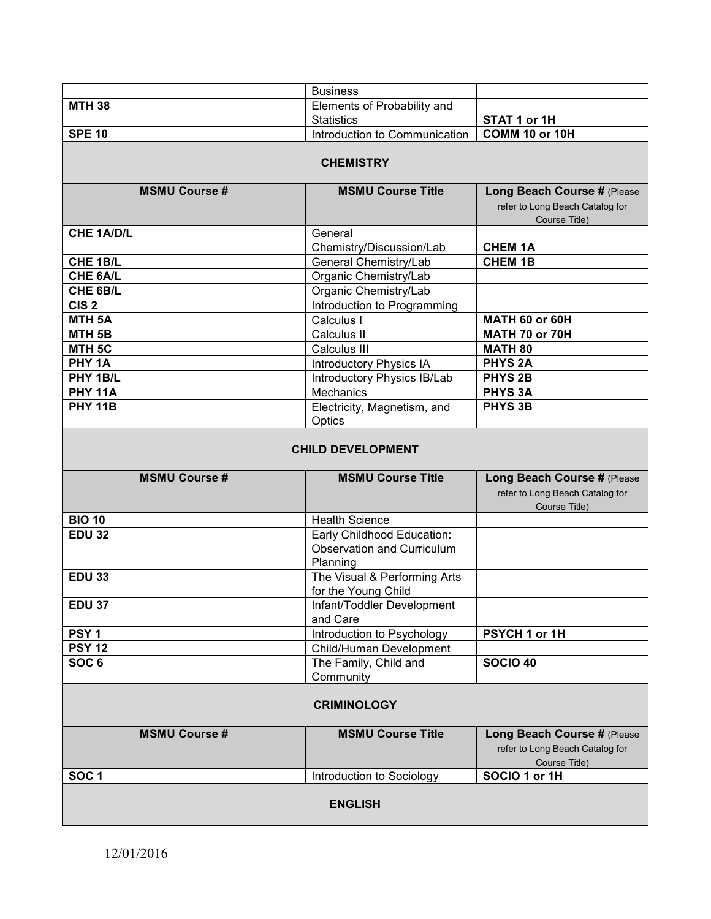|                          | <b>Business</b>                   |                                 |  |  |
|--------------------------|-----------------------------------|---------------------------------|--|--|
| <b>MTH 38</b>            | Elements of Probability and       |                                 |  |  |
|                          | <b>Statistics</b>                 | STAT 1 or 1H                    |  |  |
| <b>SPE 10</b>            | Introduction to Communication     | <b>COMM 10 or 10H</b>           |  |  |
|                          |                                   |                                 |  |  |
| <b>CHEMISTRY</b>         |                                   |                                 |  |  |
| <b>MSMU Course #</b>     | <b>MSMU Course Title</b>          | Long Beach Course # (Please     |  |  |
|                          |                                   | refer to Long Beach Catalog for |  |  |
|                          |                                   | Course Title)                   |  |  |
| <b>CHE 1A/D/L</b>        | General                           |                                 |  |  |
|                          | Chemistry/Discussion/Lab          | <b>CHEM 1A</b>                  |  |  |
| CHE 1B/L                 | General Chemistry/Lab             | <b>CHEM 1B</b>                  |  |  |
| CHE 6A/L                 | Organic Chemistry/Lab             |                                 |  |  |
| CHE 6B/L                 | Organic Chemistry/Lab             |                                 |  |  |
| CIS <sub>2</sub>         | Introduction to Programming       |                                 |  |  |
| MTH <sub>5A</sub>        | Calculus I                        | MATH 60 or 60H                  |  |  |
| MTH <sub>5B</sub>        | Calculus II                       | <b>MATH 70 or 70H</b>           |  |  |
| MTH <sub>5C</sub>        | Calculus III                      | <b>MATH 80</b>                  |  |  |
| PHY <sub>1A</sub>        | <b>Introductory Physics IA</b>    | <b>PHYS 2A</b>                  |  |  |
| PHY 1B/L                 | Introductory Physics IB/Lab       | <b>PHYS 2B</b>                  |  |  |
| <b>PHY 11A</b>           | Mechanics                         | PHYS <sub>3A</sub>              |  |  |
| <b>PHY 11B</b>           | Electricity, Magnetism, and       | PHYS <sub>3B</sub>              |  |  |
|                          | Optics                            |                                 |  |  |
| <b>CHILD DEVELOPMENT</b> |                                   |                                 |  |  |
| <b>MSMU Course#</b>      | <b>MSMU Course Title</b>          | Long Beach Course # (Please     |  |  |
|                          |                                   | refer to Long Beach Catalog for |  |  |
|                          |                                   | Course Title)                   |  |  |
|                          |                                   |                                 |  |  |
| <b>BIO 10</b>            | <b>Health Science</b>             |                                 |  |  |
| <b>EDU 32</b>            | Early Childhood Education:        |                                 |  |  |
|                          | <b>Observation and Curriculum</b> |                                 |  |  |
|                          | Planning                          |                                 |  |  |
| <b>EDU 33</b>            | The Visual & Performing Arts      |                                 |  |  |
|                          | for the Young Child               |                                 |  |  |
| <b>EDU 37</b>            | Infant/Toddler Development        |                                 |  |  |
|                          | and Care                          |                                 |  |  |
| PSY <sub>1</sub>         | Introduction to Psychology        | PSYCH 1 or 1H                   |  |  |
| <b>PSY 12</b>            | Child/Human Development           |                                 |  |  |
| SOC <sub>6</sub>         | The Family, Child and             | <b>SOCIO 40</b>                 |  |  |
|                          | Community                         |                                 |  |  |
|                          | <b>CRIMINOLOGY</b>                |                                 |  |  |
| <b>MSMU Course #</b>     | <b>MSMU Course Title</b>          | Long Beach Course # (Please     |  |  |
|                          |                                   | refer to Long Beach Catalog for |  |  |
| SOC <sub>1</sub>         | Introduction to Sociology         | Course Title)<br>SOCIO 1 or 1H  |  |  |
|                          |                                   |                                 |  |  |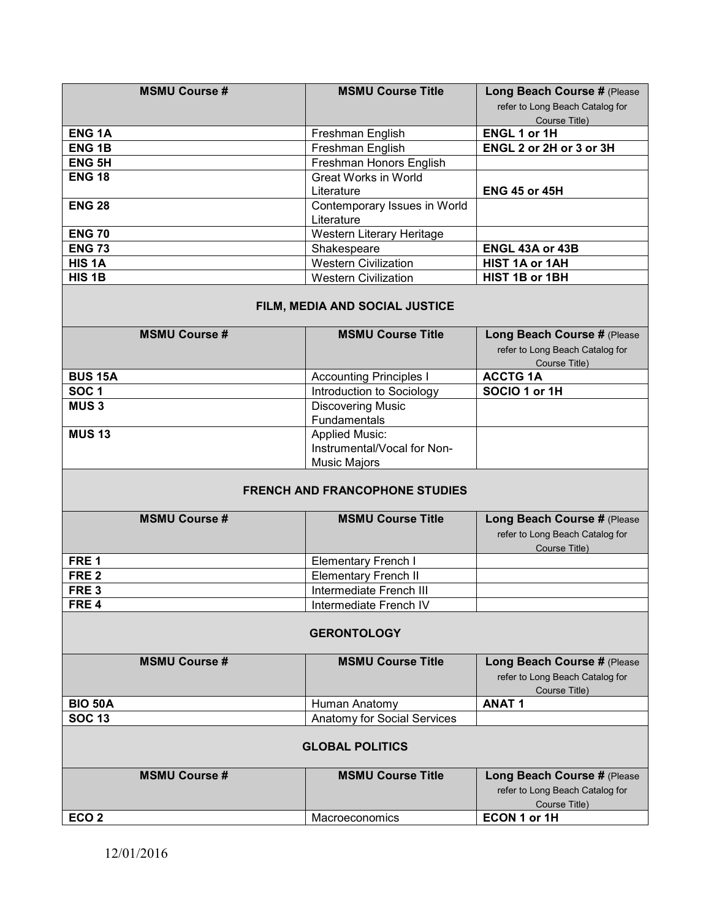| <b>MSMU Course #</b> | <b>MSMU Course Title</b>     | Long Beach Course # (Please     |
|----------------------|------------------------------|---------------------------------|
|                      |                              | refer to Long Beach Catalog for |
|                      |                              | Course Title)                   |
| <b>ENG 1A</b>        | Freshman English             | ENGL 1 or 1H                    |
| <b>ENG 1B</b>        | Freshman English             | ENGL 2 or 2H or 3 or 3H         |
| <b>ENG 5H</b>        | Freshman Honors English      |                                 |
| <b>ENG 18</b>        | <b>Great Works in World</b>  |                                 |
|                      | Literature                   | <b>ENG 45 or 45H</b>            |
| <b>ENG 28</b>        | Contemporary Issues in World |                                 |
|                      | Literature                   |                                 |
| <b>ENG 70</b>        | Western Literary Heritage    |                                 |
| <b>ENG 73</b>        | Shakespeare                  | ENGL 43A or 43B                 |
| HIS <sub>1</sub> A   | <b>Western Civilization</b>  | <b>HIST 1A or 1AH</b>           |
| HIS <sub>1B</sub>    | <b>Western Civilization</b>  | HIST 1B or 1BH                  |
|                      |                              |                                 |

# **FILM, MEDIA AND SOCIAL JUSTICE**

| <b>MSMU Course #</b> | <b>MSMU Course Title</b>       | Long Beach Course # (Please     |
|----------------------|--------------------------------|---------------------------------|
|                      |                                | refer to Long Beach Catalog for |
|                      |                                | Course Title)                   |
| <b>BUS 15A</b>       | <b>Accounting Principles I</b> | <b>ACCTG 1A</b>                 |
| <b>SOC1</b>          | Introduction to Sociology      | SOCIO 1 or 1H                   |
| <b>MUS3</b>          | <b>Discovering Music</b>       |                                 |
|                      | <b>Fundamentals</b>            |                                 |
| <b>MUS 13</b>        | <b>Applied Music:</b>          |                                 |
|                      | Instrumental/Vocal for Non-    |                                 |
|                      | <b>Music Majors</b>            |                                 |

### **FRENCH AND FRANCOPHONE STUDIES**

| <b>MSMU Course #</b> | <b>MSMU Course Title</b>    | Long Beach Course # (Please     |
|----------------------|-----------------------------|---------------------------------|
|                      |                             | refer to Long Beach Catalog for |
|                      |                             | Course Title)                   |
| FRE <sub>1</sub>     | Elementary French I         |                                 |
| FRE <sub>2</sub>     | <b>Elementary French II</b> |                                 |
| FRE <sub>3</sub>     | Intermediate French III     |                                 |
| FRE <sub>4</sub>     | Intermediate French IV      |                                 |
|                      |                             |                                 |

## **GERONTOLOGY**

| <b>MSMU Course #</b> | <b>MSMU Course Title</b>    | Long Beach Course # (Please     |
|----------------------|-----------------------------|---------------------------------|
|                      |                             | refer to Long Beach Catalog for |
|                      |                             | Course Title)                   |
| <b>BIO 50A</b>       | Human Anatomy               | <b>ANAT1</b>                    |
| <b>SOC 13</b>        | Anatomy for Social Services |                                 |
|                      |                             |                                 |

# **GLOBAL POLITICS**

| <b>MSMU Course #</b> | <b>MSMU Course Title</b> | <b>Long Beach Course # (Please</b> |
|----------------------|--------------------------|------------------------------------|
|                      |                          | refer to Long Beach Catalog for    |
|                      |                          | Course Title)                      |
| ECO <sub>2</sub>     | <b>Macroeconomics</b>    | ECON 1 or 1H                       |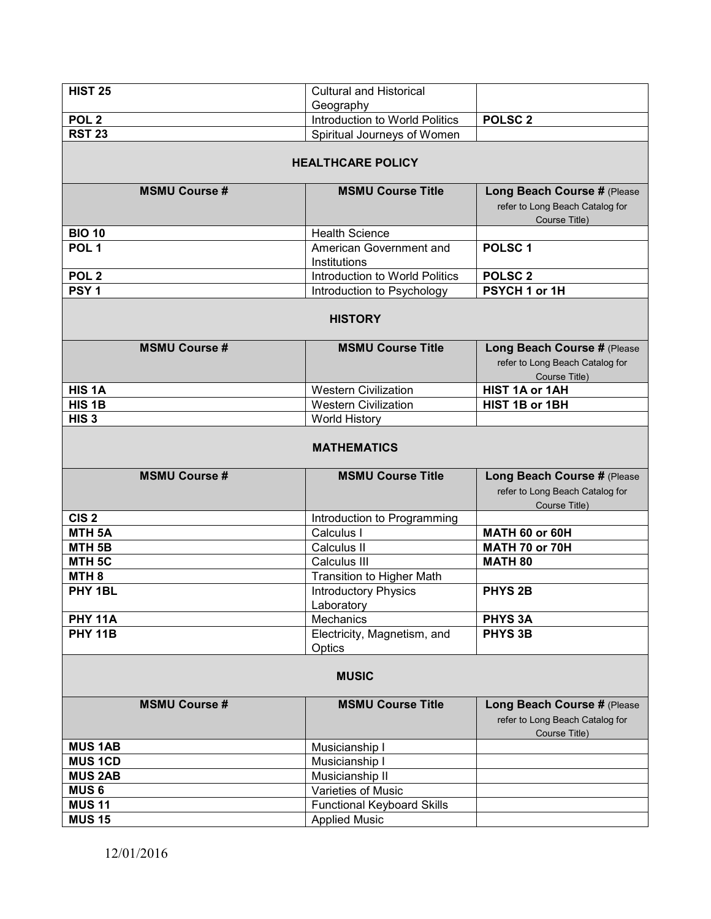| <b>HIST 25</b>                |                      | <b>Cultural and Historical</b>                            |                                                                                 |
|-------------------------------|----------------------|-----------------------------------------------------------|---------------------------------------------------------------------------------|
| POL <sub>2</sub>              |                      | Geography<br>Introduction to World Politics               | <b>POLSC<sub>2</sub></b>                                                        |
| <b>RST 23</b>                 |                      |                                                           |                                                                                 |
|                               |                      | Spiritual Journeys of Women                               |                                                                                 |
|                               |                      | <b>HEALTHCARE POLICY</b>                                  |                                                                                 |
|                               | <b>MSMU Course #</b> | <b>MSMU Course Title</b>                                  | Long Beach Course # (Please                                                     |
|                               |                      |                                                           | refer to Long Beach Catalog for                                                 |
|                               |                      |                                                           | Course Title)                                                                   |
| <b>BIO 10</b>                 |                      | <b>Health Science</b>                                     |                                                                                 |
| POL <sub>1</sub>              |                      | American Government and<br>Institutions                   | POLSC <sub>1</sub>                                                              |
| POL <sub>2</sub>              |                      | Introduction to World Politics                            | <b>POLSC<sub>2</sub></b>                                                        |
| PSY <sub>1</sub>              |                      | Introduction to Psychology                                | PSYCH 1 or 1H                                                                   |
|                               |                      | <b>HISTORY</b>                                            |                                                                                 |
|                               | <b>MSMU Course #</b> | <b>MSMU Course Title</b>                                  | Long Beach Course # (Please<br>refer to Long Beach Catalog for<br>Course Title) |
| HIS <sub>1</sub> A            |                      | <b>Western Civilization</b>                               | HIST 1A or 1AH                                                                  |
| HIS <sub>1B</sub>             |                      | <b>Western Civilization</b>                               | HIST 1B or 1BH                                                                  |
| HIS <sub>3</sub>              |                      | <b>World History</b>                                      |                                                                                 |
| <b>MATHEMATICS</b>            |                      |                                                           |                                                                                 |
|                               |                      |                                                           |                                                                                 |
|                               | <b>MSMU Course#</b>  | <b>MSMU Course Title</b>                                  | Long Beach Course # (Please<br>refer to Long Beach Catalog for<br>Course Title) |
| CIS <sub>2</sub>              |                      | Introduction to Programming                               |                                                                                 |
| MTH <sub>5A</sub>             |                      | Calculus I                                                | MATH 60 or 60H                                                                  |
| MTH <sub>5B</sub>             |                      | Calculus II                                               | MATH 70 or 70H                                                                  |
| MTH <sub>5C</sub>             |                      | Calculus III                                              | <b>MATH 80</b>                                                                  |
| MTH <sub>8</sub>              |                      | <b>Transition to Higher Math</b>                          |                                                                                 |
| PHY 1BL                       |                      | <b>Introductory Physics</b>                               | <b>PHYS 2B</b>                                                                  |
|                               |                      | Laboratory                                                |                                                                                 |
| <b>PHY 11A</b>                |                      | Mechanics                                                 | <b>PHYS 3A</b>                                                                  |
| <b>PHY 11B</b>                |                      | Electricity, Magnetism, and                               | PHYS <sub>3B</sub>                                                              |
|                               |                      | Optics                                                    |                                                                                 |
|                               |                      | <b>MUSIC</b>                                              |                                                                                 |
|                               | <b>MSMU Course #</b> | <b>MSMU Course Title</b>                                  | Long Beach Course # (Please                                                     |
|                               |                      |                                                           | refer to Long Beach Catalog for<br>Course Title)                                |
| <b>MUS1AB</b>                 |                      | Musicianship I                                            |                                                                                 |
| <b>MUS1CD</b>                 |                      | Musicianship I                                            |                                                                                 |
| <b>MUS 2AB</b>                |                      | Musicianship II                                           |                                                                                 |
| <b>MUS6</b>                   |                      | Varieties of Music                                        |                                                                                 |
| <b>MUS11</b><br><b>MUS 15</b> |                      | <b>Functional Keyboard Skills</b><br><b>Applied Music</b> |                                                                                 |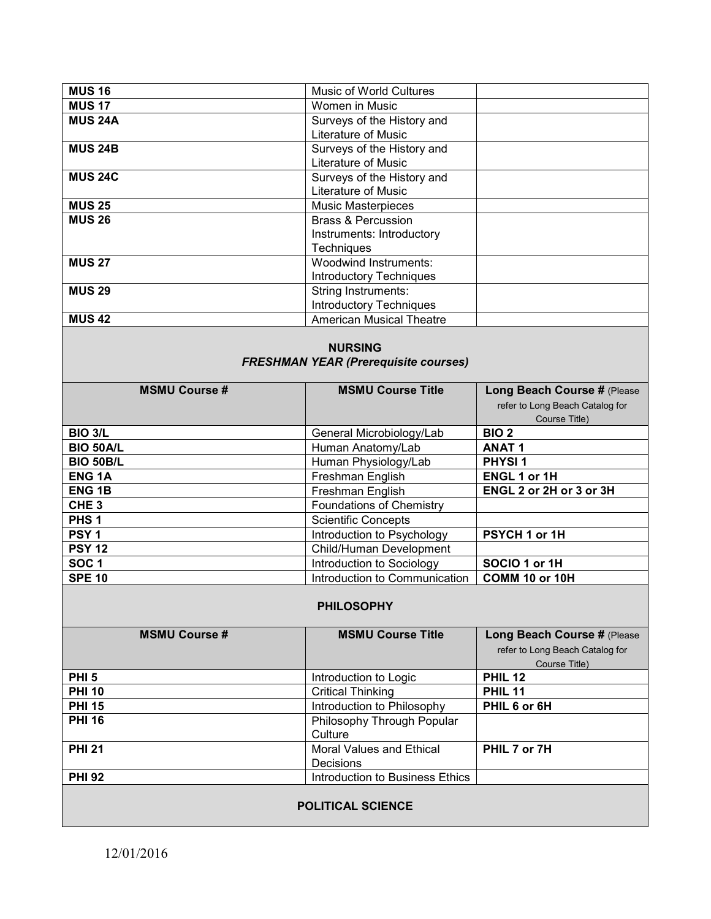| <b>MUS 16</b>  | <b>Music of World Cultures</b>  |
|----------------|---------------------------------|
| <b>MUS 17</b>  | Women in Music                  |
| <b>MUS 24A</b> | Surveys of the History and      |
|                | Literature of Music             |
| <b>MUS 24B</b> | Surveys of the History and      |
|                | <b>Literature of Music</b>      |
| <b>MUS 24C</b> | Surveys of the History and      |
|                | <b>Literature of Music</b>      |
| <b>MUS 25</b>  | <b>Music Masterpieces</b>       |
| <b>MUS 26</b>  | <b>Brass &amp; Percussion</b>   |
|                | Instruments: Introductory       |
|                | Techniques                      |
| <b>MUS 27</b>  | Woodwind Instruments:           |
|                | <b>Introductory Techniques</b>  |
| <b>MUS 29</b>  | String Instruments:             |
|                | <b>Introductory Techniques</b>  |
| <b>MUS 42</b>  | <b>American Musical Theatre</b> |

## **NURSING**  *FRESHMAN YEAR (Prerequisite courses)*

| <b>MSMU Course #</b> | <b>MSMU Course Title</b>        | Long Beach Course # (Please     |
|----------------------|---------------------------------|---------------------------------|
|                      |                                 | refer to Long Beach Catalog for |
|                      |                                 | Course Title)                   |
| <b>BIO 3/L</b>       | General Microbiology/Lab        | BIO <sub>2</sub>                |
| <b>BIO 50A/L</b>     | Human Anatomy/Lab               | <b>ANAT1</b>                    |
| <b>BIO 50B/L</b>     | Human Physiology/Lab            | <b>PHYSI1</b>                   |
| <b>ENG 1A</b>        | Freshman English                | ENGL 1 or 1H                    |
| <b>ENG1B</b>         | Freshman English                | ENGL 2 or 2H or 3 or 3H         |
| CHE <sub>3</sub>     | <b>Foundations of Chemistry</b> |                                 |
| PHS <sub>1</sub>     | <b>Scientific Concepts</b>      |                                 |
| PSY <sub>1</sub>     | Introduction to Psychology      | PSYCH 1 or 1H                   |
| <b>PSY 12</b>        | Child/Human Development         |                                 |
| <b>SOC1</b>          | Introduction to Sociology       | SOCIO 1 or 1H                   |
| <b>SPE 10</b>        | Introduction to Communication   | <b>COMM 10 or 10H</b>           |

# **PHILOSOPHY**

| <b>MSMU Course #</b>     | <b>MSMU Course Title</b>        | Long Beach Course # (Please     |
|--------------------------|---------------------------------|---------------------------------|
|                          |                                 | refer to Long Beach Catalog for |
|                          |                                 | Course Title)                   |
| <b>PHI 5</b>             | Introduction to Logic           | <b>PHIL 12</b>                  |
| <b>PHI 10</b>            | <b>Critical Thinking</b>        | <b>PHIL 11</b>                  |
| <b>PHI 15</b>            | Introduction to Philosophy      | PHIL 6 or 6H                    |
| <b>PHI 16</b>            | Philosophy Through Popular      |                                 |
|                          | Culture                         |                                 |
| <b>PHI 21</b>            | Moral Values and Ethical        | PHIL 7 or 7H                    |
|                          | Decisions                       |                                 |
| <b>PHI 92</b>            | Introduction to Business Ethics |                                 |
| <b>POLITICAL SCIENCE</b> |                                 |                                 |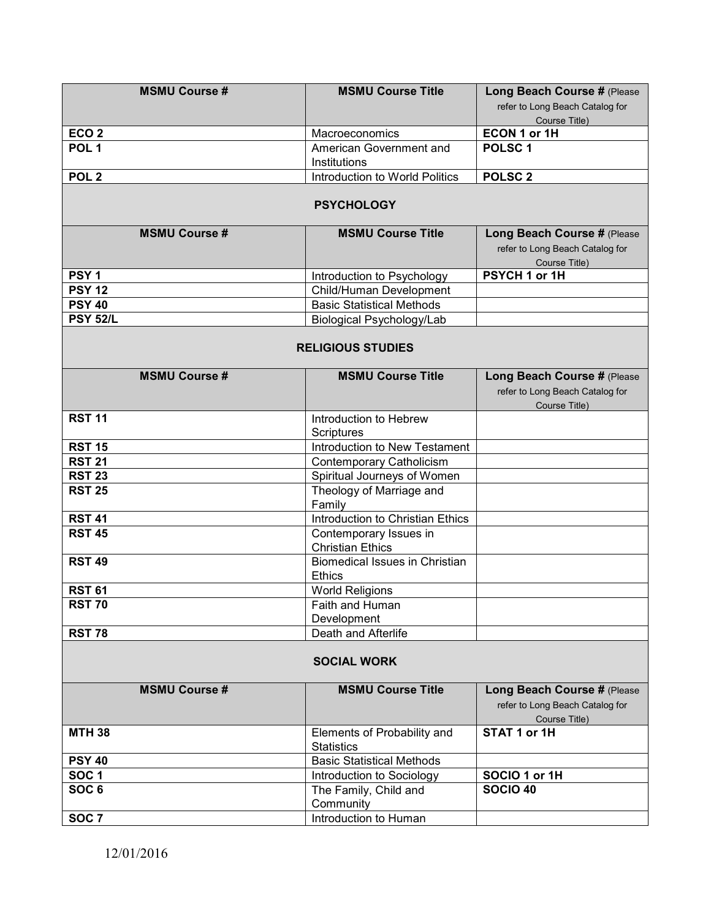| <b>MSMU Course #</b> | <b>MSMU Course Title</b>                         | Long Beach Course # (Please                      |
|----------------------|--------------------------------------------------|--------------------------------------------------|
|                      |                                                  | refer to Long Beach Catalog for                  |
|                      |                                                  | Course Title)                                    |
| ECO <sub>2</sub>     | Macroeconomics                                   | ECON 1 or 1H                                     |
| POL <sub>1</sub>     | American Government and                          | POLSC <sub>1</sub>                               |
|                      | Institutions                                     |                                                  |
| POL <sub>2</sub>     | Introduction to World Politics                   | <b>POLSC<sub>2</sub></b>                         |
|                      | <b>PSYCHOLOGY</b>                                |                                                  |
| <b>MSMU Course #</b> | <b>MSMU Course Title</b>                         | Long Beach Course # (Please                      |
|                      |                                                  | refer to Long Beach Catalog for                  |
|                      |                                                  | Course Title)                                    |
| PSY <sub>1</sub>     | Introduction to Psychology                       | PSYCH 1 or 1H                                    |
| <b>PSY 12</b>        | Child/Human Development                          |                                                  |
| <b>PSY 40</b>        | <b>Basic Statistical Methods</b>                 |                                                  |
| <b>PSY 52/L</b>      | Biological Psychology/Lab                        |                                                  |
|                      | <b>RELIGIOUS STUDIES</b>                         |                                                  |
| <b>MSMU Course#</b>  | <b>MSMU Course Title</b>                         | Long Beach Course # (Please                      |
|                      |                                                  | refer to Long Beach Catalog for                  |
| <b>RST 11</b>        | Introduction to Hebrew                           | Course Title)                                    |
|                      | Scriptures                                       |                                                  |
| <b>RST 15</b>        | Introduction to New Testament                    |                                                  |
| <b>RST 21</b>        | <b>Contemporary Catholicism</b>                  |                                                  |
| <b>RST 23</b>        | Spiritual Journeys of Women                      |                                                  |
| <b>RST 25</b>        | Theology of Marriage and                         |                                                  |
|                      | Family                                           |                                                  |
| <b>RST 41</b>        | Introduction to Christian Ethics                 |                                                  |
| <b>RST 45</b>        | Contemporary Issues in                           |                                                  |
|                      | <b>Christian Ethics</b>                          |                                                  |
| <b>RST 49</b>        | <b>Biomedical Issues in Christian</b>            |                                                  |
|                      | <b>Ethics</b>                                    |                                                  |
| <b>RST 61</b>        | <b>World Religions</b>                           |                                                  |
| <b>RST 70</b>        | Faith and Human                                  |                                                  |
|                      | Development                                      |                                                  |
| <b>RST 78</b>        | Death and Afterlife                              |                                                  |
| <b>SOCIAL WORK</b>   |                                                  |                                                  |
| <b>MSMU Course #</b> | <b>MSMU Course Title</b>                         | Long Beach Course # (Please                      |
|                      |                                                  | refer to Long Beach Catalog for<br>Course Title) |
| <b>MTH 38</b>        | Elements of Probability and<br><b>Statistics</b> | STAT 1 or 1H                                     |
| <b>PSY 40</b>        | <b>Basic Statistical Methods</b>                 |                                                  |
| <b>SOC1</b>          | Introduction to Sociology                        | SOCIO 1 or 1H                                    |
| SOC <sub>6</sub>     | The Family, Child and                            | <b>SOCIO 40</b>                                  |
|                      | Community                                        |                                                  |
| SOC <sub>7</sub>     | Introduction to Human                            |                                                  |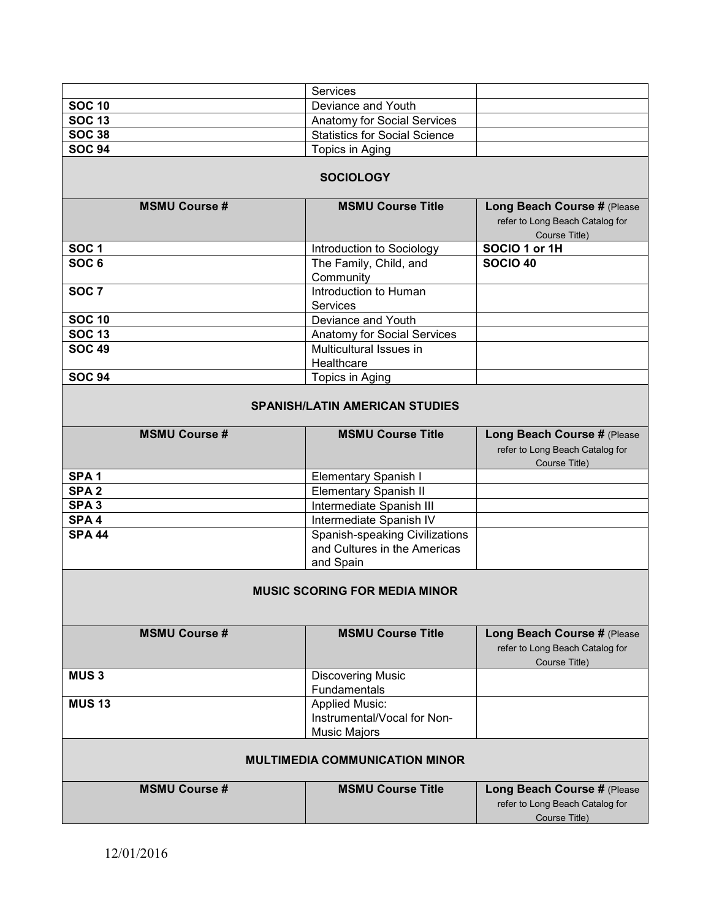|                                       |                      | Services                                                                    |                                                                                 |
|---------------------------------------|----------------------|-----------------------------------------------------------------------------|---------------------------------------------------------------------------------|
| <b>SOC 10</b>                         |                      | Deviance and Youth                                                          |                                                                                 |
| <b>SOC 13</b>                         |                      | Anatomy for Social Services                                                 |                                                                                 |
| <b>SOC 38</b>                         |                      | <b>Statistics for Social Science</b>                                        |                                                                                 |
| <b>SOC 94</b>                         |                      | Topics in Aging                                                             |                                                                                 |
|                                       |                      | <b>SOCIOLOGY</b>                                                            |                                                                                 |
|                                       | <b>MSMU Course #</b> | <b>MSMU Course Title</b>                                                    | Long Beach Course # (Please<br>refer to Long Beach Catalog for<br>Course Title) |
| SOC <sub>1</sub>                      |                      | Introduction to Sociology                                                   | SOCIO 1 or 1H                                                                   |
| SOC <sub>6</sub>                      |                      | The Family, Child, and                                                      | <b>SOCIO 40</b>                                                                 |
|                                       |                      | Community                                                                   |                                                                                 |
| <b>SOC 7</b>                          |                      | Introduction to Human                                                       |                                                                                 |
|                                       |                      | <b>Services</b>                                                             |                                                                                 |
| <b>SOC 10</b>                         |                      | Deviance and Youth                                                          |                                                                                 |
| <b>SOC 13</b>                         |                      | Anatomy for Social Services                                                 |                                                                                 |
| <b>SOC 49</b>                         |                      | Multicultural Issues in                                                     |                                                                                 |
|                                       |                      | Healthcare                                                                  |                                                                                 |
| <b>SOC 94</b>                         |                      | Topics in Aging                                                             |                                                                                 |
| <b>SPANISH/LATIN AMERICAN STUDIES</b> |                      |                                                                             |                                                                                 |
|                                       | <b>MSMU Course #</b> | <b>MSMU Course Title</b>                                                    | Long Beach Course # (Please<br>refer to Long Beach Catalog for<br>Course Title) |
| SPA <sub>1</sub>                      |                      | <b>Elementary Spanish I</b>                                                 |                                                                                 |
| SPA <sub>2</sub>                      |                      | <b>Elementary Spanish II</b>                                                |                                                                                 |
| SPA <sub>3</sub>                      |                      | Intermediate Spanish III                                                    |                                                                                 |
| SPA <sub>4</sub>                      |                      | Intermediate Spanish IV                                                     |                                                                                 |
| <b>SPA 44</b>                         |                      | Spanish-speaking Civilizations<br>and Cultures in the Americas<br>and Spain |                                                                                 |
| <b>MUSIC SCORING FOR MEDIA MINOR</b>  |                      |                                                                             |                                                                                 |
|                                       | <b>MSMU Course #</b> | <b>MSMU Course Title</b>                                                    | Long Beach Course # (Please<br>refer to Long Beach Catalog for<br>Course Title) |
| <b>MUS3</b>                           |                      | <b>Discovering Music</b><br>Fundamentals                                    |                                                                                 |
| <b>MUS 13</b>                         |                      | <b>Applied Music:</b><br>Instrumental/Vocal for Non-<br><b>Music Majors</b> |                                                                                 |
| <b>MULTIMEDIA COMMUNICATION MINOR</b> |                      |                                                                             |                                                                                 |
|                                       | <b>MSMU Course #</b> | <b>MSMU Course Title</b>                                                    | Long Beach Course # (Please                                                     |
|                                       |                      |                                                                             |                                                                                 |
|                                       |                      |                                                                             | refer to Long Beach Catalog for                                                 |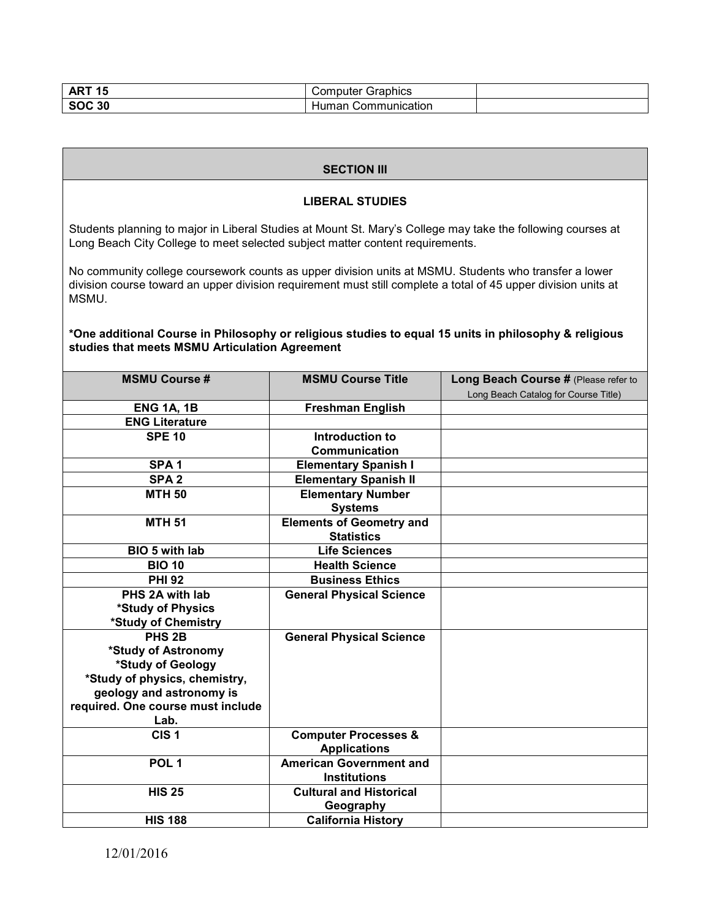| - 4 -<br>---<br>10<br>rw. | こomputer<br>Graphics        |  |
|---------------------------|-----------------------------|--|
| :30<br><b>SOL.</b><br>эı. | Communication<br>nar<br>Hur |  |

### **SECTION III**

#### **LIBERAL STUDIES**

Students planning to major in Liberal Studies at Mount St. Mary's College may take the following courses at Long Beach City College to meet selected subject matter content requirements.

No community college coursework counts as upper division units at MSMU. Students who transfer a lower division course toward an upper division requirement must still complete a total of 45 upper division units at MSMU.

### **\*One additional Course in Philosophy or religious studies to equal 15 units in philosophy & religious studies that meets MSMU Articulation Agreement**

| <b>MSMU Course #</b>              | <b>MSMU Course Title</b>        | Long Beach Course # (Please refer to |
|-----------------------------------|---------------------------------|--------------------------------------|
|                                   |                                 | Long Beach Catalog for Course Title) |
| <b>ENG 1A, 1B</b>                 | <b>Freshman English</b>         |                                      |
| <b>ENG Literature</b>             |                                 |                                      |
| <b>SPE 10</b>                     | Introduction to                 |                                      |
|                                   | <b>Communication</b>            |                                      |
| SPA <sub>1</sub>                  | <b>Elementary Spanish I</b>     |                                      |
| SPA <sub>2</sub>                  | <b>Elementary Spanish II</b>    |                                      |
| <b>MTH 50</b>                     | <b>Elementary Number</b>        |                                      |
|                                   | <b>Systems</b>                  |                                      |
| <b>MTH 51</b>                     | <b>Elements of Geometry and</b> |                                      |
|                                   | <b>Statistics</b>               |                                      |
| BIO 5 with lab                    | <b>Life Sciences</b>            |                                      |
| <b>BIO 10</b>                     | <b>Health Science</b>           |                                      |
| <b>PHI 92</b>                     | <b>Business Ethics</b>          |                                      |
| PHS 2A with lab                   | <b>General Physical Science</b> |                                      |
| *Study of Physics                 |                                 |                                      |
| *Study of Chemistry               |                                 |                                      |
| PHS <sub>2B</sub>                 | <b>General Physical Science</b> |                                      |
| *Study of Astronomy               |                                 |                                      |
| *Study of Geology                 |                                 |                                      |
| *Study of physics, chemistry,     |                                 |                                      |
| geology and astronomy is          |                                 |                                      |
| required. One course must include |                                 |                                      |
| Lab.                              |                                 |                                      |
| CIS <sub>1</sub>                  | <b>Computer Processes &amp;</b> |                                      |
|                                   | <b>Applications</b>             |                                      |
| POL <sub>1</sub>                  | <b>American Government and</b>  |                                      |
|                                   | <b>Institutions</b>             |                                      |
| <b>HIS 25</b>                     | <b>Cultural and Historical</b>  |                                      |
|                                   | Geography                       |                                      |
| <b>HIS 188</b>                    | <b>California History</b>       |                                      |